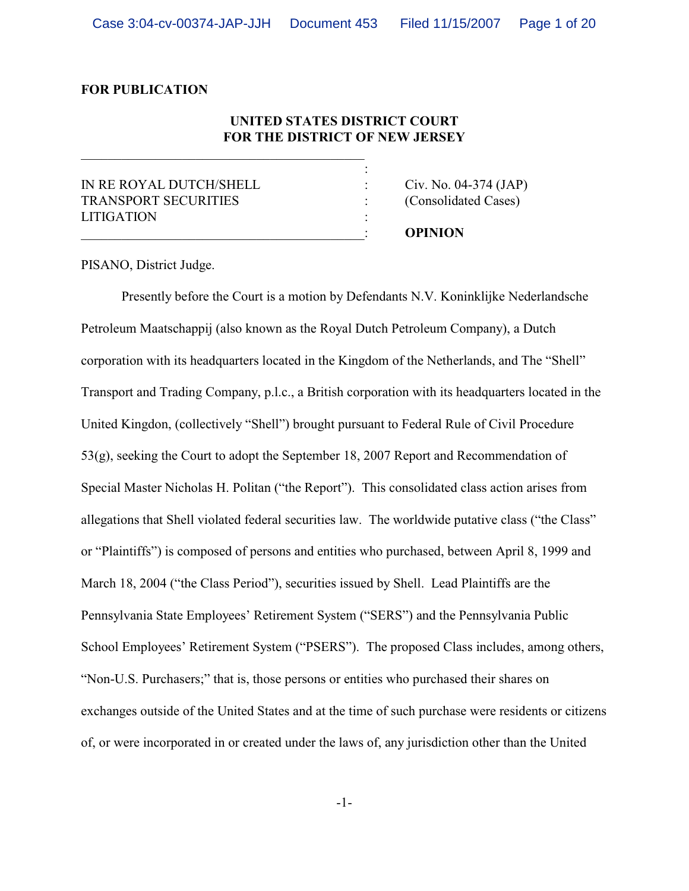# **FOR PUBLICATION**

# **UNITED STATES DISTRICT COURT FOR THE DISTRICT OF NEW JERSEY**

:

IN RE ROYAL DUTCH/SHELL : Civ. No. 04-374 (JAP) TRANSPORT SECURITIES : (Consolidated Cases) **LITIGATION** 

\_\_\_\_\_\_\_\_\_\_\_\_\_\_\_\_\_\_\_\_\_\_\_\_\_\_\_\_\_\_\_\_\_\_\_\_\_\_\_\_\_\_: **OPINION**

PISANO, District Judge.

Presently before the Court is a motion by Defendants N.V. Koninklijke Nederlandsche Petroleum Maatschappij (also known as the Royal Dutch Petroleum Company), a Dutch corporation with its headquarters located in the Kingdom of the Netherlands, and The "Shell" Transport and Trading Company, p.l.c., a British corporation with its headquarters located in the United Kingdon, (collectively "Shell") brought pursuant to Federal Rule of Civil Procedure 53(g), seeking the Court to adopt the September 18, 2007 Report and Recommendation of Special Master Nicholas H. Politan ("the Report"). This consolidated class action arises from allegations that Shell violated federal securities law. The worldwide putative class ("the Class" or "Plaintiffs") is composed of persons and entities who purchased, between April 8, 1999 and March 18, 2004 ("the Class Period"), securities issued by Shell. Lead Plaintiffs are the Pennsylvania State Employees' Retirement System ("SERS") and the Pennsylvania Public School Employees' Retirement System ("PSERS"). The proposed Class includes, among others, "Non-U.S. Purchasers;" that is, those persons or entities who purchased their shares on exchanges outside of the United States and at the time of such purchase were residents or citizens of, or were incorporated in or created under the laws of, any jurisdiction other than the United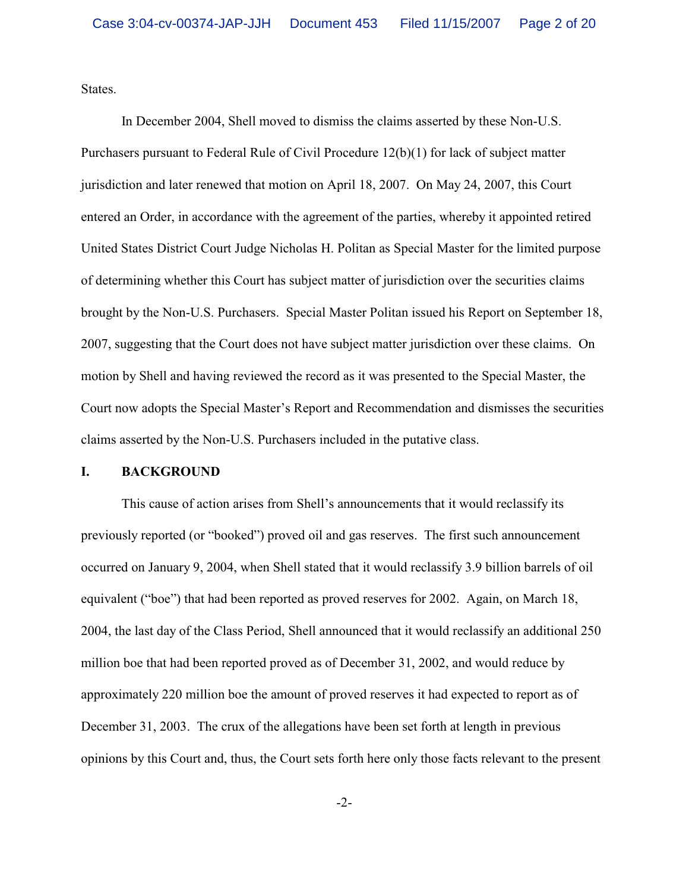States.

In December 2004, Shell moved to dismiss the claims asserted by these Non-U.S. Purchasers pursuant to Federal Rule of Civil Procedure 12(b)(1) for lack of subject matter jurisdiction and later renewed that motion on April 18, 2007. On May 24, 2007, this Court entered an Order, in accordance with the agreement of the parties, whereby it appointed retired United States District Court Judge Nicholas H. Politan as Special Master for the limited purpose of determining whether this Court has subject matter of jurisdiction over the securities claims brought by the Non-U.S. Purchasers. Special Master Politan issued his Report on September 18, 2007, suggesting that the Court does not have subject matter jurisdiction over these claims. On motion by Shell and having reviewed the record as it was presented to the Special Master, the Court now adopts the Special Master's Report and Recommendation and dismisses the securities claims asserted by the Non-U.S. Purchasers included in the putative class.

# **I. BACKGROUND**

This cause of action arises from Shell's announcements that it would reclassify its previously reported (or "booked") proved oil and gas reserves. The first such announcement occurred on January 9, 2004, when Shell stated that it would reclassify 3.9 billion barrels of oil equivalent ("boe") that had been reported as proved reserves for 2002. Again, on March 18, 2004, the last day of the Class Period, Shell announced that it would reclassify an additional 250 million boe that had been reported proved as of December 31, 2002, and would reduce by approximately 220 million boe the amount of proved reserves it had expected to report as of December 31, 2003. The crux of the allegations have been set forth at length in previous opinions by this Court and, thus, the Court sets forth here only those facts relevant to the present

-2-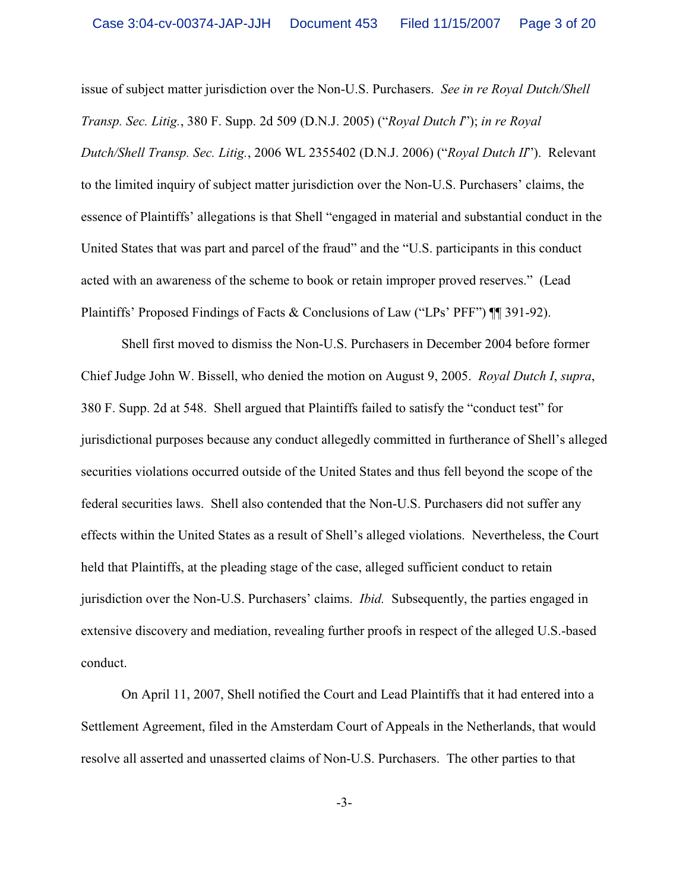issue of subject matter jurisdiction over the Non-U.S. Purchasers. *See in re Royal Dutch/Shell Transp. Sec. Litig.*, 380 F. Supp. 2d 509 (D.N.J. 2005) ("*Royal Dutch I*"); *in re Royal Dutch/Shell Transp. Sec. Litig.*, 2006 WL 2355402 (D.N.J. 2006) ("*Royal Dutch II*"). Relevant to the limited inquiry of subject matter jurisdiction over the Non-U.S. Purchasers' claims, the essence of Plaintiffs' allegations is that Shell "engaged in material and substantial conduct in the United States that was part and parcel of the fraud" and the "U.S. participants in this conduct acted with an awareness of the scheme to book or retain improper proved reserves." (Lead Plaintiffs' Proposed Findings of Facts & Conclusions of Law ("LPs' PFF") ¶¶ 391-92).

Shell first moved to dismiss the Non-U.S. Purchasers in December 2004 before former Chief Judge John W. Bissell, who denied the motion on August 9, 2005. *Royal Dutch I*, *supra*, 380 F. Supp. 2d at 548. Shell argued that Plaintiffs failed to satisfy the "conduct test" for jurisdictional purposes because any conduct allegedly committed in furtherance of Shell's alleged securities violations occurred outside of the United States and thus fell beyond the scope of the federal securities laws. Shell also contended that the Non-U.S. Purchasers did not suffer any effects within the United States as a result of Shell's alleged violations. Nevertheless, the Court held that Plaintiffs, at the pleading stage of the case, alleged sufficient conduct to retain jurisdiction over the Non-U.S. Purchasers' claims. *Ibid.* Subsequently, the parties engaged in extensive discovery and mediation, revealing further proofs in respect of the alleged U.S.-based conduct.

On April 11, 2007, Shell notified the Court and Lead Plaintiffs that it had entered into a Settlement Agreement, filed in the Amsterdam Court of Appeals in the Netherlands, that would resolve all asserted and unasserted claims of Non-U.S. Purchasers. The other parties to that

-3-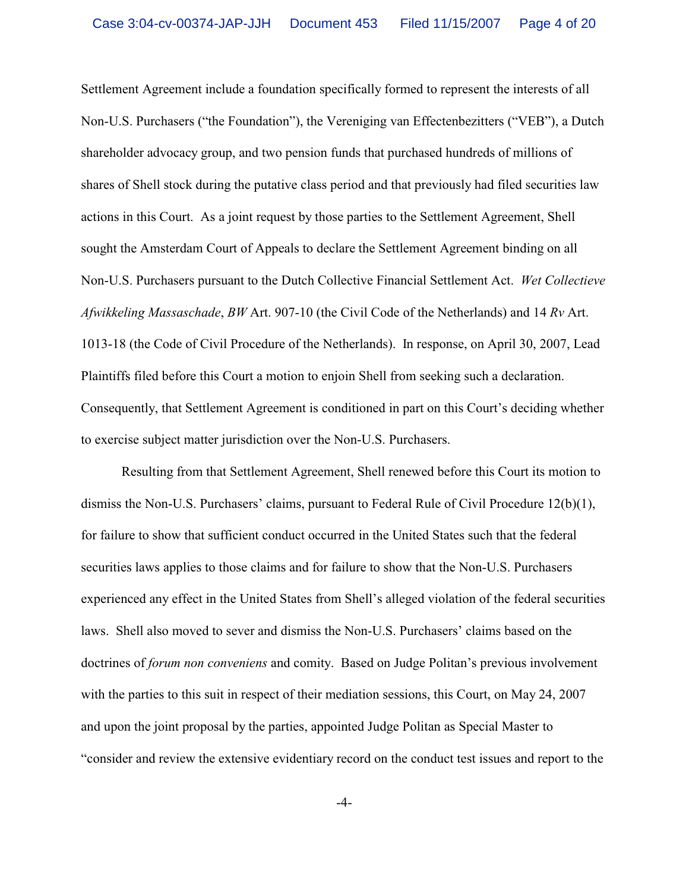Settlement Agreement include a foundation specifically formed to represent the interests of all Non-U.S. Purchasers ("the Foundation"), the Vereniging van Effectenbezitters ("VEB"), a Dutch shareholder advocacy group, and two pension funds that purchased hundreds of millions of shares of Shell stock during the putative class period and that previously had filed securities law actions in this Court. As a joint request by those parties to the Settlement Agreement, Shell sought the Amsterdam Court of Appeals to declare the Settlement Agreement binding on all Non-U.S. Purchasers pursuant to the Dutch Collective Financial Settlement Act. *Wet Collectieve Afwikkeling Massaschade*, *BW* Art. 907-10 (the Civil Code of the Netherlands) and 14 *Rv* Art. 1013-18 (the Code of Civil Procedure of the Netherlands). In response, on April 30, 2007, Lead Plaintiffs filed before this Court a motion to enjoin Shell from seeking such a declaration. Consequently, that Settlement Agreement is conditioned in part on this Court's deciding whether to exercise subject matter jurisdiction over the Non-U.S. Purchasers.

Resulting from that Settlement Agreement, Shell renewed before this Court its motion to dismiss the Non-U.S. Purchasers' claims, pursuant to Federal Rule of Civil Procedure 12(b)(1), for failure to show that sufficient conduct occurred in the United States such that the federal securities laws applies to those claims and for failure to show that the Non-U.S. Purchasers experienced any effect in the United States from Shell's alleged violation of the federal securities laws. Shell also moved to sever and dismiss the Non-U.S. Purchasers' claims based on the doctrines of *forum non conveniens* and comity. Based on Judge Politan's previous involvement with the parties to this suit in respect of their mediation sessions, this Court, on May 24, 2007 and upon the joint proposal by the parties, appointed Judge Politan as Special Master to "consider and review the extensive evidentiary record on the conduct test issues and report to the

-4-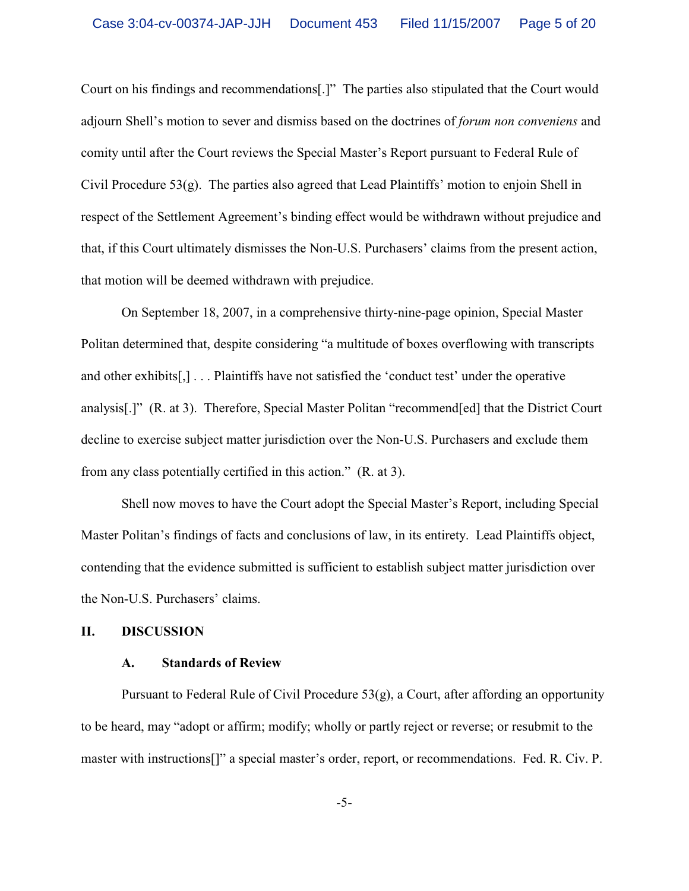Court on his findings and recommendations[.]" The parties also stipulated that the Court would adjourn Shell's motion to sever and dismiss based on the doctrines of *forum non conveniens* and comity until after the Court reviews the Special Master's Report pursuant to Federal Rule of Civil Procedure  $53(g)$ . The parties also agreed that Lead Plaintiffs' motion to enjoin Shell in respect of the Settlement Agreement's binding effect would be withdrawn without prejudice and that, if this Court ultimately dismisses the Non-U.S. Purchasers' claims from the present action, that motion will be deemed withdrawn with prejudice.

On September 18, 2007, in a comprehensive thirty-nine-page opinion, Special Master Politan determined that, despite considering "a multitude of boxes overflowing with transcripts and other exhibits[,] . . . Plaintiffs have not satisfied the 'conduct test' under the operative analysis[.]" (R. at 3). Therefore, Special Master Politan "recommend[ed] that the District Court decline to exercise subject matter jurisdiction over the Non-U.S. Purchasers and exclude them from any class potentially certified in this action." (R. at 3).

Shell now moves to have the Court adopt the Special Master's Report, including Special Master Politan's findings of facts and conclusions of law, in its entirety. Lead Plaintiffs object, contending that the evidence submitted is sufficient to establish subject matter jurisdiction over the Non-U.S. Purchasers' claims.

# **II. DISCUSSION**

# **A. Standards of Review**

Pursuant to Federal Rule of Civil Procedure 53(g), a Court, after affording an opportunity to be heard, may "adopt or affirm; modify; wholly or partly reject or reverse; or resubmit to the master with instructions[]" a special master's order, report, or recommendations. Fed. R. Civ. P.

-5-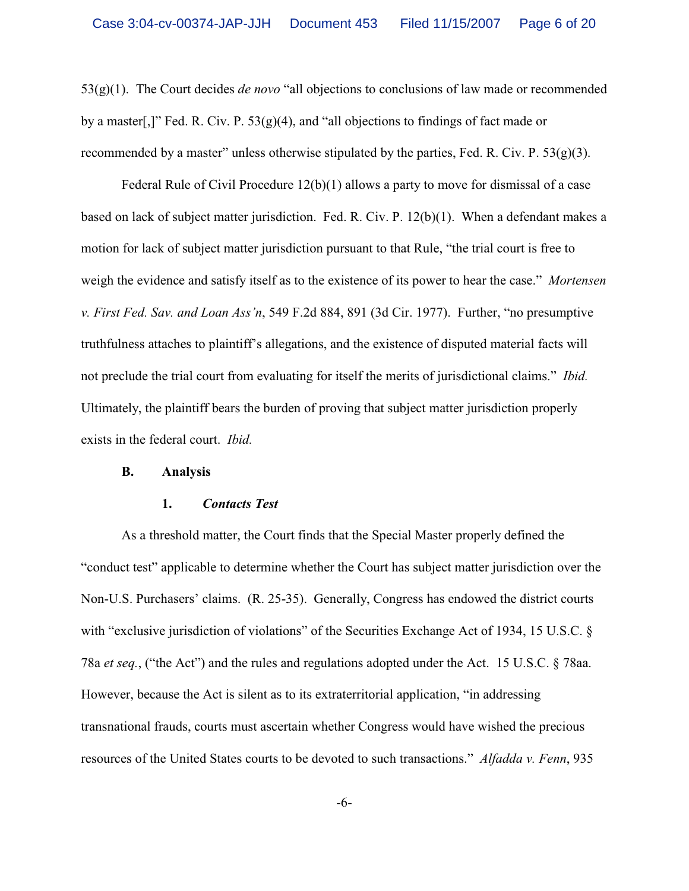53(g)(1). The Court decides *de novo* "all objections to conclusions of law made or recommended by a master[,]" Fed. R. Civ. P.  $53(g)(4)$ , and "all objections to findings of fact made or recommended by a master" unless otherwise stipulated by the parties, Fed. R. Civ. P.  $53(g)(3)$ .

Federal Rule of Civil Procedure 12(b)(1) allows a party to move for dismissal of a case based on lack of subject matter jurisdiction. Fed. R. Civ. P. 12(b)(1). When a defendant makes a motion for lack of subject matter jurisdiction pursuant to that Rule, "the trial court is free to weigh the evidence and satisfy itself as to the existence of its power to hear the case." *Mortensen v. First Fed. Sav. and Loan Ass'n*, 549 F.2d 884, 891 (3d Cir. 1977). Further, "no presumptive truthfulness attaches to plaintiff's allegations, and the existence of disputed material facts will not preclude the trial court from evaluating for itself the merits of jurisdictional claims." *Ibid.* Ultimately, the plaintiff bears the burden of proving that subject matter jurisdiction properly exists in the federal court. *Ibid.*

#### **B. Analysis**

# **1.** *Contacts Test*

As a threshold matter, the Court finds that the Special Master properly defined the "conduct test" applicable to determine whether the Court has subject matter jurisdiction over the Non-U.S. Purchasers' claims. (R. 25-35). Generally, Congress has endowed the district courts with "exclusive jurisdiction of violations" of the Securities Exchange Act of 1934, 15 U.S.C. § 78a *et seq.*, ("the Act") and the rules and regulations adopted under the Act. 15 U.S.C. § 78aa. However, because the Act is silent as to its extraterritorial application, "in addressing transnational frauds, courts must ascertain whether Congress would have wished the precious resources of the United States courts to be devoted to such transactions." *Alfadda v. Fenn*, 935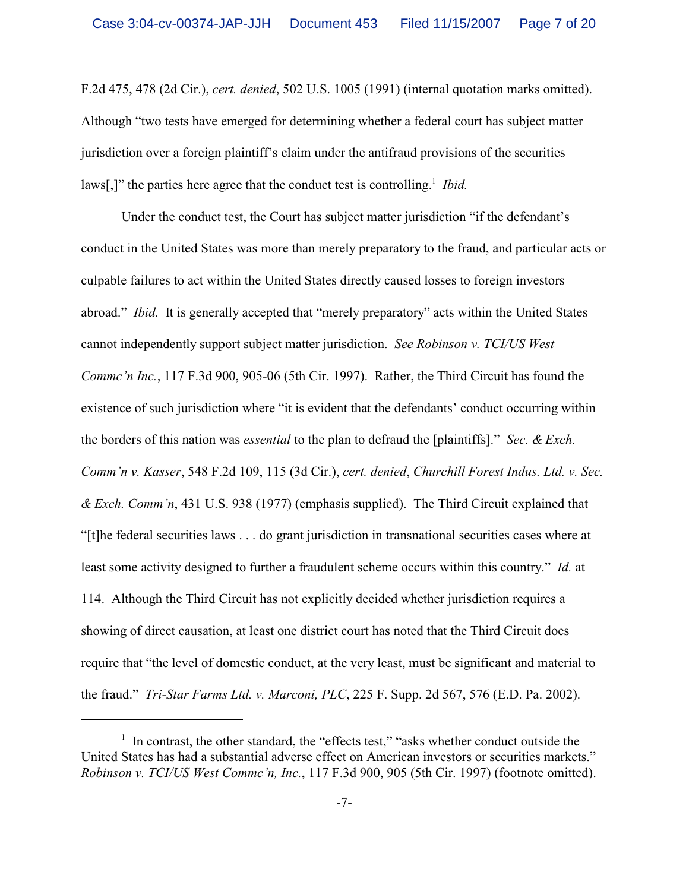F.2d 475, 478 (2d Cir.), *cert. denied*, 502 U.S. 1005 (1991) (internal quotation marks omitted). Although "two tests have emerged for determining whether a federal court has subject matter jurisdiction over a foreign plaintiff's claim under the antifraud provisions of the securities laws[,]" the parties here agree that the conduct test is controlling.<sup>1</sup> Ibid.

Under the conduct test, the Court has subject matter jurisdiction "if the defendant's conduct in the United States was more than merely preparatory to the fraud, and particular acts or culpable failures to act within the United States directly caused losses to foreign investors abroad." *Ibid.* It is generally accepted that "merely preparatory" acts within the United States cannot independently support subject matter jurisdiction. *See Robinson v. TCI/US West Commc'n Inc.*, 117 F.3d 900, 905-06 (5th Cir. 1997). Rather, the Third Circuit has found the existence of such jurisdiction where "it is evident that the defendants' conduct occurring within the borders of this nation was *essential* to the plan to defraud the [plaintiffs]." *Sec. & Exch. Comm'n v. Kasser*, 548 F.2d 109, 115 (3d Cir.), *cert. denied*, *Churchill Forest Indus. Ltd. v. Sec. & Exch. Comm'n*, 431 U.S. 938 (1977) (emphasis supplied). The Third Circuit explained that "[t]he federal securities laws . . . do grant jurisdiction in transnational securities cases where at least some activity designed to further a fraudulent scheme occurs within this country." *Id.* at 114. Although the Third Circuit has not explicitly decided whether jurisdiction requires a showing of direct causation, at least one district court has noted that the Third Circuit does require that "the level of domestic conduct, at the very least, must be significant and material to the fraud." *Tri-Star Farms Ltd. v. Marconi, PLC*, 225 F. Supp. 2d 567, 576 (E.D. Pa. 2002).

 $\frac{1}{1}$  In contrast, the other standard, the "effects test," "asks whether conduct outside the United States has had a substantial adverse effect on American investors or securities markets." *Robinson v. TCI/US West Commc'n, Inc.*, 117 F.3d 900, 905 (5th Cir. 1997) (footnote omitted).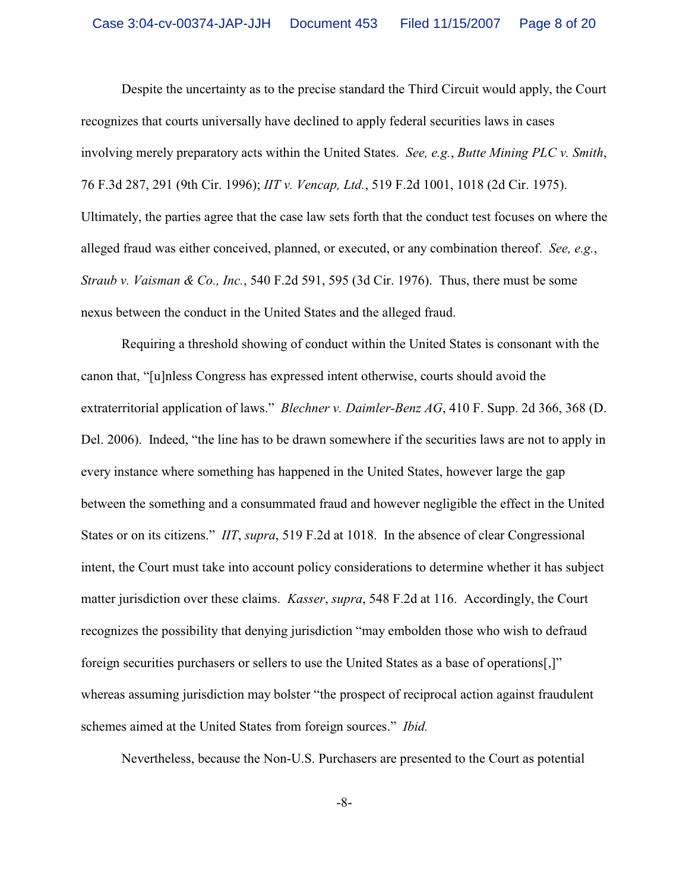Despite the uncertainty as to the precise standard the Third Circuit would apply, the Court recognizes that courts universally have declined to apply federal securities laws in cases involving merely preparatory acts within the United States. *See, e.g.*, *Butte Mining PLC v. Smith*, 76 F.3d 287, 291 (9th Cir. 1996); *IIT v. Vencap, Ltd.*, 519 F.2d 1001, 1018 (2d Cir. 1975). Ultimately, the parties agree that the case law sets forth that the conduct test focuses on where the alleged fraud was either conceived, planned, or executed, or any combination thereof. *See, e.g.*, *Straub v. Vaisman & Co., Inc.*, 540 F.2d 591, 595 (3d Cir. 1976). Thus, there must be some nexus between the conduct in the United States and the alleged fraud.

Requiring a threshold showing of conduct within the United States is consonant with the canon that, "[u]nless Congress has expressed intent otherwise, courts should avoid the extraterritorial application of laws." *Blechner v. Daimler-Benz AG*, 410 F. Supp. 2d 366, 368 (D. Del. 2006). Indeed, "the line has to be drawn somewhere if the securities laws are not to apply in every instance where something has happened in the United States, however large the gap between the something and a consummated fraud and however negligible the effect in the United States or on its citizens." *IIT*, *supra*, 519 F.2d at 1018. In the absence of clear Congressional intent, the Court must take into account policy considerations to determine whether it has subject matter jurisdiction over these claims. *Kasser*, *supra*, 548 F.2d at 116. Accordingly, the Court recognizes the possibility that denying jurisdiction "may embolden those who wish to defraud foreign securities purchasers or sellers to use the United States as a base of operations[,]" whereas assuming jurisdiction may bolster "the prospect of reciprocal action against fraudulent schemes aimed at the United States from foreign sources." *Ibid.*

Nevertheless, because the Non-U.S. Purchasers are presented to the Court as potential

-8-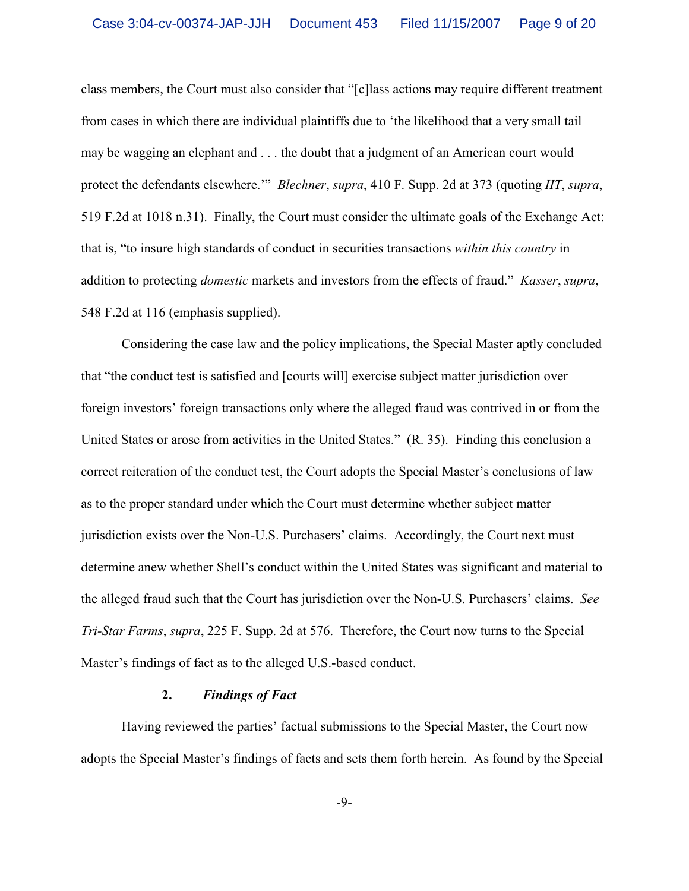class members, the Court must also consider that "[c]lass actions may require different treatment from cases in which there are individual plaintiffs due to 'the likelihood that a very small tail may be wagging an elephant and . . . the doubt that a judgment of an American court would protect the defendants elsewhere.'" *Blechner*, *supra*, 410 F. Supp. 2d at 373 (quoting *IIT*, *supra*, 519 F.2d at 1018 n.31). Finally, the Court must consider the ultimate goals of the Exchange Act: that is, "to insure high standards of conduct in securities transactions *within this country* in addition to protecting *domestic* markets and investors from the effects of fraud." *Kasser*, *supra*, 548 F.2d at 116 (emphasis supplied).

Considering the case law and the policy implications, the Special Master aptly concluded that "the conduct test is satisfied and [courts will] exercise subject matter jurisdiction over foreign investors' foreign transactions only where the alleged fraud was contrived in or from the United States or arose from activities in the United States." (R. 35). Finding this conclusion a correct reiteration of the conduct test, the Court adopts the Special Master's conclusions of law as to the proper standard under which the Court must determine whether subject matter jurisdiction exists over the Non-U.S. Purchasers' claims. Accordingly, the Court next must determine anew whether Shell's conduct within the United States was significant and material to the alleged fraud such that the Court has jurisdiction over the Non-U.S. Purchasers' claims. *See Tri-Star Farms*, *supra*, 225 F. Supp. 2d at 576. Therefore, the Court now turns to the Special Master's findings of fact as to the alleged U.S.-based conduct.

#### **2.** *Findings of Fact*

Having reviewed the parties' factual submissions to the Special Master, the Court now adopts the Special Master's findings of facts and sets them forth herein. As found by the Special

-9-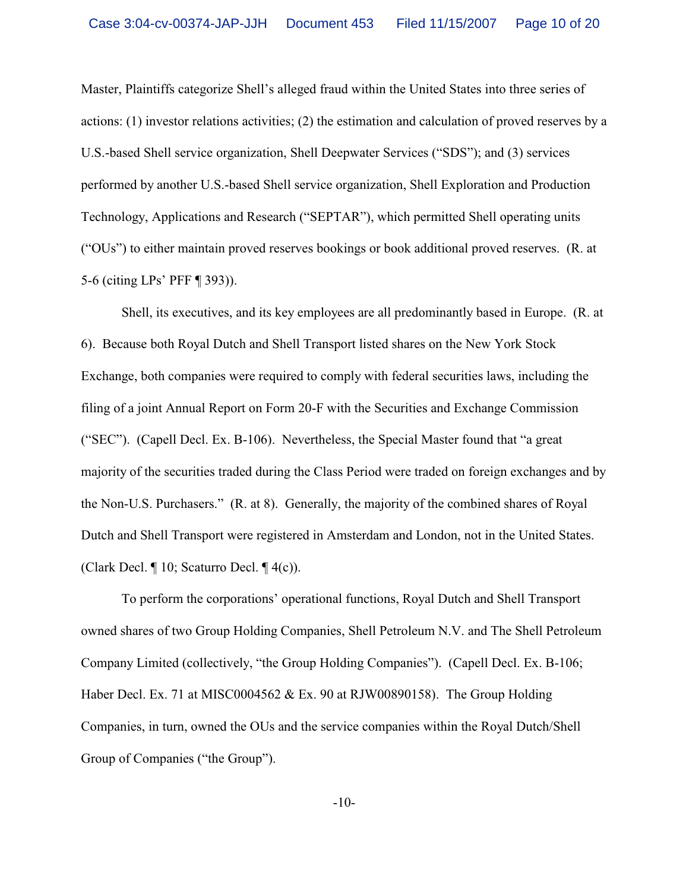Master, Plaintiffs categorize Shell's alleged fraud within the United States into three series of actions: (1) investor relations activities; (2) the estimation and calculation of proved reserves by a U.S.-based Shell service organization, Shell Deepwater Services ("SDS"); and (3) services performed by another U.S.-based Shell service organization, Shell Exploration and Production Technology, Applications and Research ("SEPTAR"), which permitted Shell operating units ("OUs") to either maintain proved reserves bookings or book additional proved reserves. (R. at 5-6 (citing LPs' PFF ¶ 393)).

Shell, its executives, and its key employees are all predominantly based in Europe. (R. at 6). Because both Royal Dutch and Shell Transport listed shares on the New York Stock Exchange, both companies were required to comply with federal securities laws, including the filing of a joint Annual Report on Form 20-F with the Securities and Exchange Commission ("SEC"). (Capell Decl. Ex. B-106). Nevertheless, the Special Master found that "a great majority of the securities traded during the Class Period were traded on foreign exchanges and by the Non-U.S. Purchasers." (R. at 8). Generally, the majority of the combined shares of Royal Dutch and Shell Transport were registered in Amsterdam and London, not in the United States. (Clark Decl. ¶ 10; Scaturro Decl. ¶ 4(c)).

To perform the corporations' operational functions, Royal Dutch and Shell Transport owned shares of two Group Holding Companies, Shell Petroleum N.V. and The Shell Petroleum Company Limited (collectively, "the Group Holding Companies"). (Capell Decl. Ex. B-106; Haber Decl. Ex. 71 at MISC0004562 & Ex. 90 at RJW00890158). The Group Holding Companies, in turn, owned the OUs and the service companies within the Royal Dutch/Shell Group of Companies ("the Group").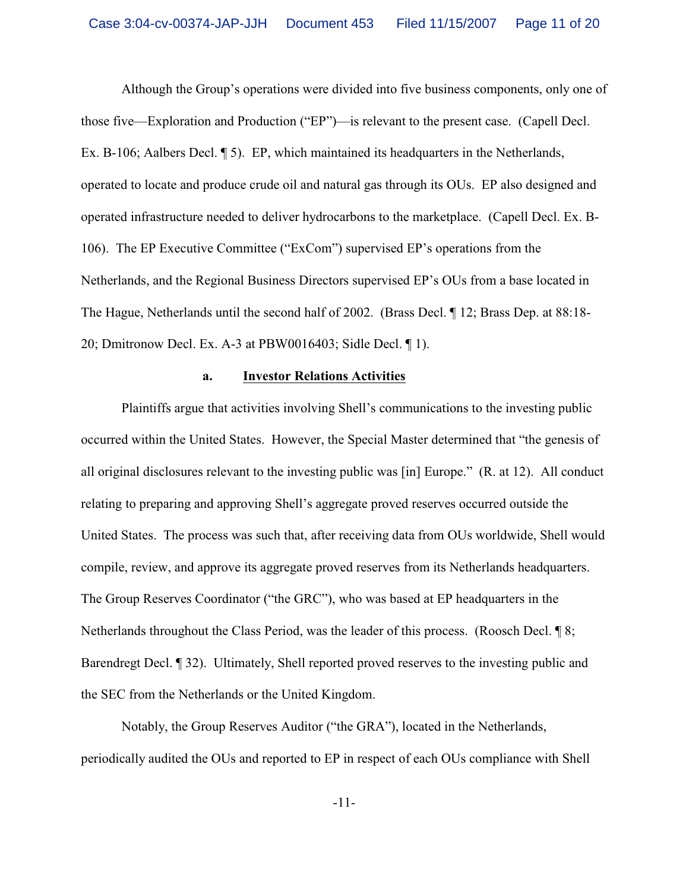Although the Group's operations were divided into five business components, only one of those five—Exploration and Production ("EP")—is relevant to the present case. (Capell Decl. Ex. B-106; Aalbers Decl. ¶ 5). EP, which maintained its headquarters in the Netherlands, operated to locate and produce crude oil and natural gas through its OUs. EP also designed and operated infrastructure needed to deliver hydrocarbons to the marketplace. (Capell Decl. Ex. B-106). The EP Executive Committee ("ExCom") supervised EP's operations from the Netherlands, and the Regional Business Directors supervised EP's OUs from a base located in The Hague, Netherlands until the second half of 2002. (Brass Decl. ¶ 12; Brass Dep. at 88:18- 20; Dmitronow Decl. Ex. A-3 at PBW0016403; Sidle Decl. ¶ 1).

# **a. Investor Relations Activities**

Plaintiffs argue that activities involving Shell's communications to the investing public occurred within the United States. However, the Special Master determined that "the genesis of all original disclosures relevant to the investing public was [in] Europe." (R. at 12). All conduct relating to preparing and approving Shell's aggregate proved reserves occurred outside the United States. The process was such that, after receiving data from OUs worldwide, Shell would compile, review, and approve its aggregate proved reserves from its Netherlands headquarters. The Group Reserves Coordinator ("the GRC"), who was based at EP headquarters in the Netherlands throughout the Class Period, was the leader of this process. (Roosch Decl. ¶ 8; Barendregt Decl. ¶ 32). Ultimately, Shell reported proved reserves to the investing public and the SEC from the Netherlands or the United Kingdom.

Notably, the Group Reserves Auditor ("the GRA"), located in the Netherlands, periodically audited the OUs and reported to EP in respect of each OUs compliance with Shell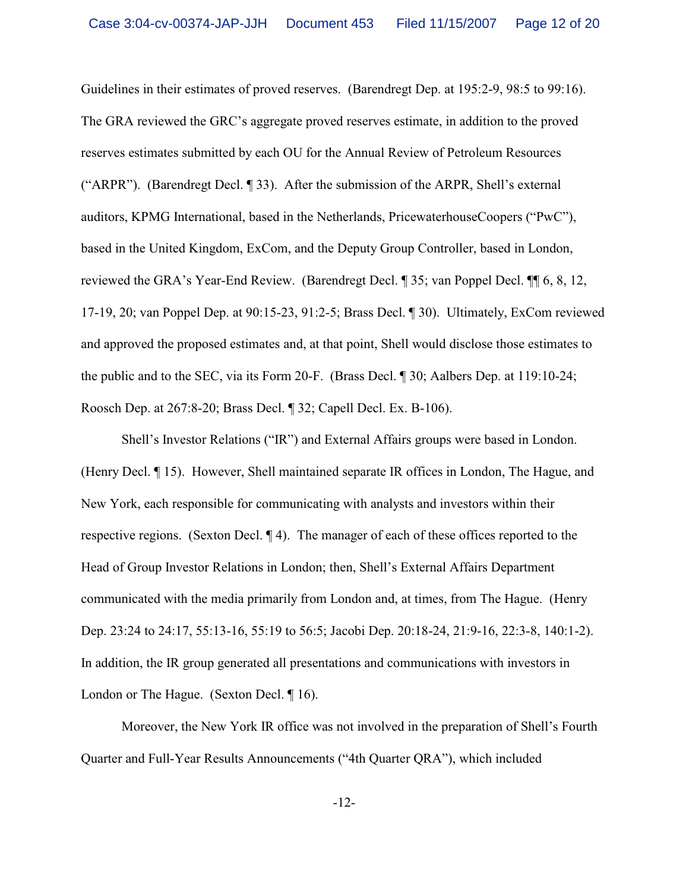Guidelines in their estimates of proved reserves. (Barendregt Dep. at 195:2-9, 98:5 to 99:16). The GRA reviewed the GRC's aggregate proved reserves estimate, in addition to the proved reserves estimates submitted by each OU for the Annual Review of Petroleum Resources ("ARPR"). (Barendregt Decl. ¶ 33). After the submission of the ARPR, Shell's external auditors, KPMG International, based in the Netherlands, PricewaterhouseCoopers ("PwC"), based in the United Kingdom, ExCom, and the Deputy Group Controller, based in London, reviewed the GRA's Year-End Review. (Barendregt Decl. ¶ 35; van Poppel Decl. ¶¶ 6, 8, 12, 17-19, 20; van Poppel Dep. at 90:15-23, 91:2-5; Brass Decl. ¶ 30). Ultimately, ExCom reviewed and approved the proposed estimates and, at that point, Shell would disclose those estimates to the public and to the SEC, via its Form 20-F. (Brass Decl. ¶ 30; Aalbers Dep. at 119:10-24; Roosch Dep. at 267:8-20; Brass Decl. ¶ 32; Capell Decl. Ex. B-106).

Shell's Investor Relations ("IR") and External Affairs groups were based in London. (Henry Decl. ¶ 15). However, Shell maintained separate IR offices in London, The Hague, and New York, each responsible for communicating with analysts and investors within their respective regions. (Sexton Decl. ¶ 4). The manager of each of these offices reported to the Head of Group Investor Relations in London; then, Shell's External Affairs Department communicated with the media primarily from London and, at times, from The Hague. (Henry Dep. 23:24 to 24:17, 55:13-16, 55:19 to 56:5; Jacobi Dep. 20:18-24, 21:9-16, 22:3-8, 140:1-2). In addition, the IR group generated all presentations and communications with investors in London or The Hague. (Sexton Decl. ¶ 16).

Moreover, the New York IR office was not involved in the preparation of Shell's Fourth Quarter and Full-Year Results Announcements ("4th Quarter QRA"), which included

-12-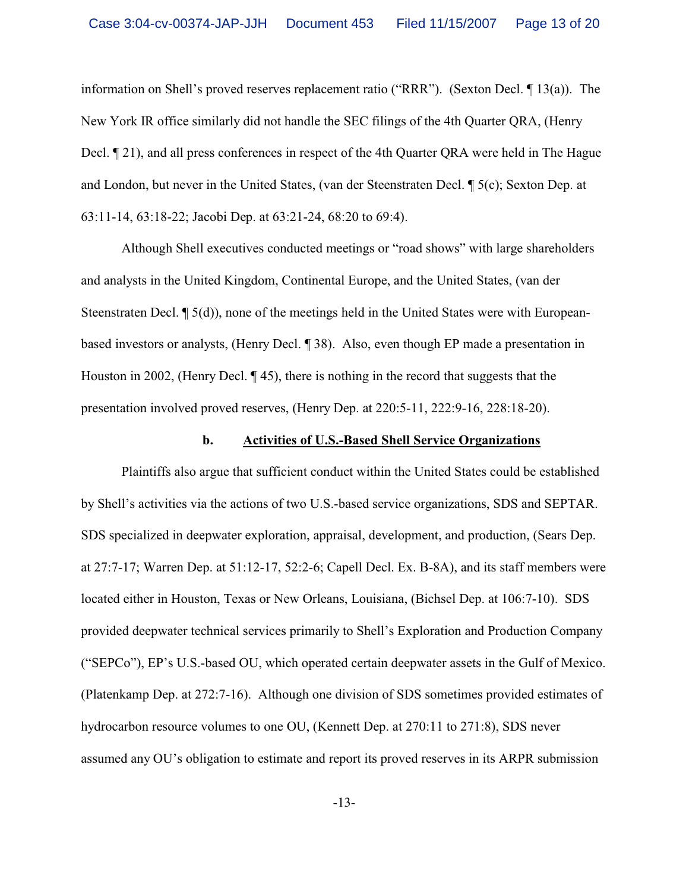information on Shell's proved reserves replacement ratio ("RRR"). (Sexton Decl. ¶ 13(a)). The New York IR office similarly did not handle the SEC filings of the 4th Quarter QRA, (Henry Decl. ¶ 21), and all press conferences in respect of the 4th Quarter QRA were held in The Hague and London, but never in the United States, (van der Steenstraten Decl. ¶ 5(c); Sexton Dep. at 63:11-14, 63:18-22; Jacobi Dep. at 63:21-24, 68:20 to 69:4).

Although Shell executives conducted meetings or "road shows" with large shareholders and analysts in the United Kingdom, Continental Europe, and the United States, (van der Steenstraten Decl. ¶ 5(d)), none of the meetings held in the United States were with Europeanbased investors or analysts, (Henry Decl. ¶ 38). Also, even though EP made a presentation in Houston in 2002, (Henry Decl. ¶ 45), there is nothing in the record that suggests that the presentation involved proved reserves, (Henry Dep. at 220:5-11, 222:9-16, 228:18-20).

# **b. Activities of U.S.-Based Shell Service Organizations**

Plaintiffs also argue that sufficient conduct within the United States could be established by Shell's activities via the actions of two U.S.-based service organizations, SDS and SEPTAR. SDS specialized in deepwater exploration, appraisal, development, and production, (Sears Dep. at 27:7-17; Warren Dep. at 51:12-17, 52:2-6; Capell Decl. Ex. B-8A), and its staff members were located either in Houston, Texas or New Orleans, Louisiana, (Bichsel Dep. at 106:7-10). SDS provided deepwater technical services primarily to Shell's Exploration and Production Company ("SEPCo"), EP's U.S.-based OU, which operated certain deepwater assets in the Gulf of Mexico. (Platenkamp Dep. at 272:7-16). Although one division of SDS sometimes provided estimates of hydrocarbon resource volumes to one OU, (Kennett Dep. at 270:11 to 271:8), SDS never assumed any OU's obligation to estimate and report its proved reserves in its ARPR submission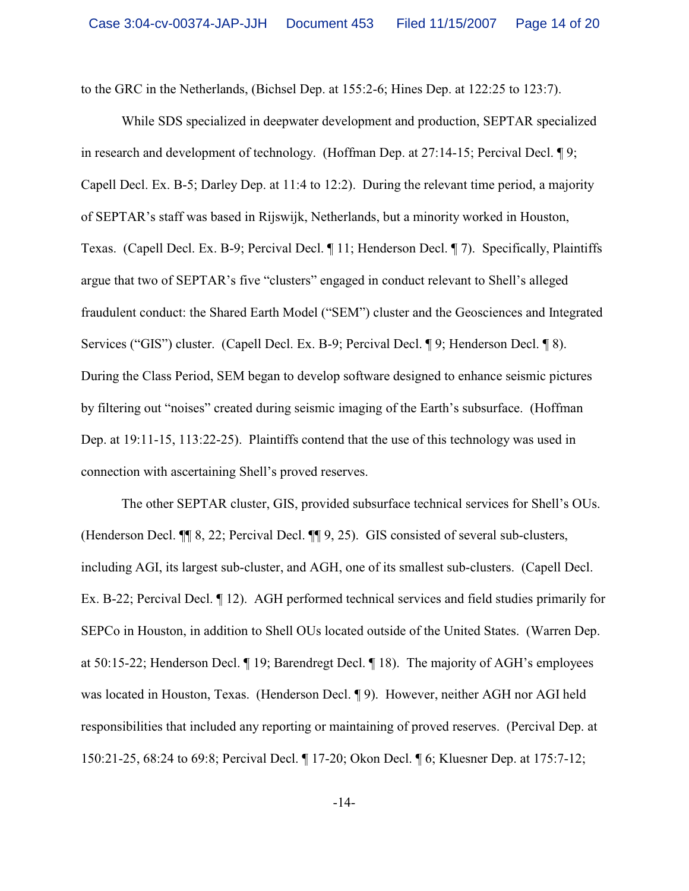to the GRC in the Netherlands, (Bichsel Dep. at 155:2-6; Hines Dep. at 122:25 to 123:7).

While SDS specialized in deepwater development and production, SEPTAR specialized in research and development of technology. (Hoffman Dep. at 27:14-15; Percival Decl. ¶ 9; Capell Decl. Ex. B-5; Darley Dep. at 11:4 to 12:2). During the relevant time period, a majority of SEPTAR's staff was based in Rijswijk, Netherlands, but a minority worked in Houston, Texas. (Capell Decl. Ex. B-9; Percival Decl. ¶ 11; Henderson Decl. ¶ 7). Specifically, Plaintiffs argue that two of SEPTAR's five "clusters" engaged in conduct relevant to Shell's alleged fraudulent conduct: the Shared Earth Model ("SEM") cluster and the Geosciences and Integrated Services ("GIS") cluster. (Capell Decl. Ex. B-9; Percival Decl. ¶ 9; Henderson Decl. ¶ 8). During the Class Period, SEM began to develop software designed to enhance seismic pictures by filtering out "noises" created during seismic imaging of the Earth's subsurface. (Hoffman Dep. at 19:11-15, 113:22-25). Plaintiffs contend that the use of this technology was used in connection with ascertaining Shell's proved reserves.

The other SEPTAR cluster, GIS, provided subsurface technical services for Shell's OUs. (Henderson Decl. ¶¶ 8, 22; Percival Decl. ¶¶ 9, 25). GIS consisted of several sub-clusters, including AGI, its largest sub-cluster, and AGH, one of its smallest sub-clusters. (Capell Decl. Ex. B-22; Percival Decl. ¶ 12). AGH performed technical services and field studies primarily for SEPCo in Houston, in addition to Shell OUs located outside of the United States. (Warren Dep. at 50:15-22; Henderson Decl. ¶ 19; Barendregt Decl. ¶ 18). The majority of AGH's employees was located in Houston, Texas. (Henderson Decl. ¶ 9). However, neither AGH nor AGI held responsibilities that included any reporting or maintaining of proved reserves. (Percival Dep. at 150:21-25, 68:24 to 69:8; Percival Decl. ¶ 17-20; Okon Decl. ¶ 6; Kluesner Dep. at 175:7-12;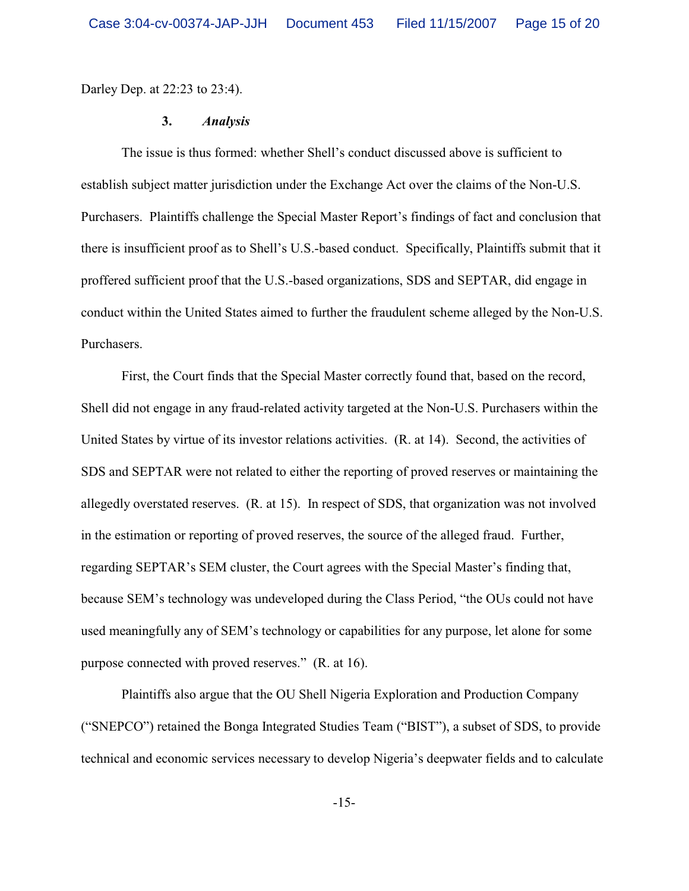Darley Dep. at 22:23 to 23:4).

# **3.** *Analysis*

The issue is thus formed: whether Shell's conduct discussed above is sufficient to establish subject matter jurisdiction under the Exchange Act over the claims of the Non-U.S. Purchasers. Plaintiffs challenge the Special Master Report's findings of fact and conclusion that there is insufficient proof as to Shell's U.S.-based conduct. Specifically, Plaintiffs submit that it proffered sufficient proof that the U.S.-based organizations, SDS and SEPTAR, did engage in conduct within the United States aimed to further the fraudulent scheme alleged by the Non-U.S. Purchasers.

First, the Court finds that the Special Master correctly found that, based on the record, Shell did not engage in any fraud-related activity targeted at the Non-U.S. Purchasers within the United States by virtue of its investor relations activities. (R. at 14). Second, the activities of SDS and SEPTAR were not related to either the reporting of proved reserves or maintaining the allegedly overstated reserves. (R. at 15). In respect of SDS, that organization was not involved in the estimation or reporting of proved reserves, the source of the alleged fraud. Further, regarding SEPTAR's SEM cluster, the Court agrees with the Special Master's finding that, because SEM's technology was undeveloped during the Class Period, "the OUs could not have used meaningfully any of SEM's technology or capabilities for any purpose, let alone for some purpose connected with proved reserves." (R. at 16).

Plaintiffs also argue that the OU Shell Nigeria Exploration and Production Company ("SNEPCO") retained the Bonga Integrated Studies Team ("BIST"), a subset of SDS, to provide technical and economic services necessary to develop Nigeria's deepwater fields and to calculate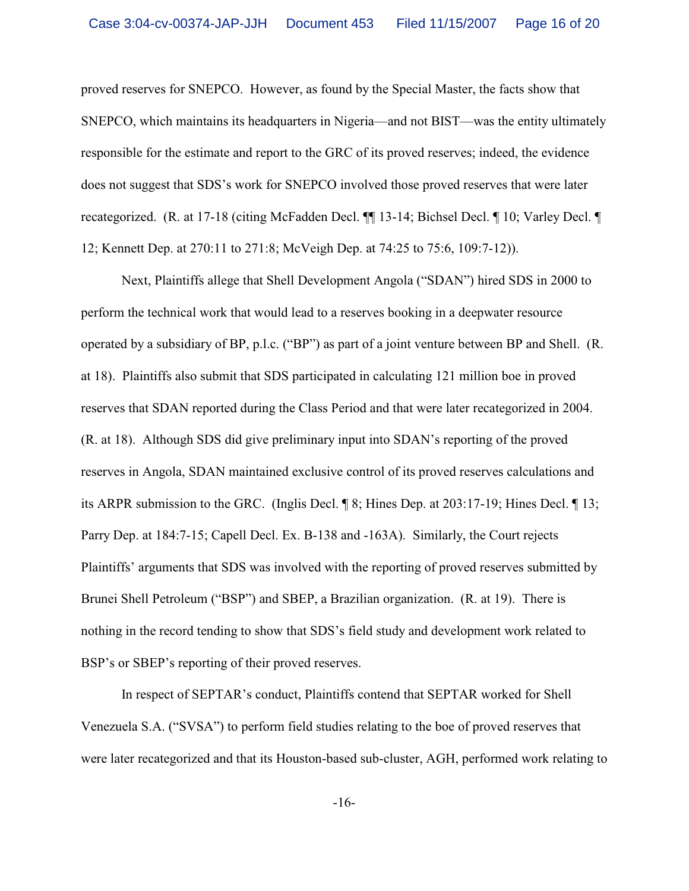proved reserves for SNEPCO. However, as found by the Special Master, the facts show that SNEPCO, which maintains its headquarters in Nigeria—and not BIST—was the entity ultimately responsible for the estimate and report to the GRC of its proved reserves; indeed, the evidence does not suggest that SDS's work for SNEPCO involved those proved reserves that were later recategorized. (R. at 17-18 (citing McFadden Decl. ¶¶ 13-14; Bichsel Decl. ¶ 10; Varley Decl. ¶ 12; Kennett Dep. at 270:11 to 271:8; McVeigh Dep. at 74:25 to 75:6, 109:7-12)).

Next, Plaintiffs allege that Shell Development Angola ("SDAN") hired SDS in 2000 to perform the technical work that would lead to a reserves booking in a deepwater resource operated by a subsidiary of BP, p.l.c. ("BP") as part of a joint venture between BP and Shell. (R. at 18). Plaintiffs also submit that SDS participated in calculating 121 million boe in proved reserves that SDAN reported during the Class Period and that were later recategorized in 2004. (R. at 18). Although SDS did give preliminary input into SDAN's reporting of the proved reserves in Angola, SDAN maintained exclusive control of its proved reserves calculations and its ARPR submission to the GRC. (Inglis Decl. ¶ 8; Hines Dep. at 203:17-19; Hines Decl. ¶ 13; Parry Dep. at 184:7-15; Capell Decl. Ex. B-138 and -163A). Similarly, the Court rejects Plaintiffs' arguments that SDS was involved with the reporting of proved reserves submitted by Brunei Shell Petroleum ("BSP") and SBEP, a Brazilian organization. (R. at 19). There is nothing in the record tending to show that SDS's field study and development work related to BSP's or SBEP's reporting of their proved reserves.

In respect of SEPTAR's conduct, Plaintiffs contend that SEPTAR worked for Shell Venezuela S.A. ("SVSA") to perform field studies relating to the boe of proved reserves that were later recategorized and that its Houston-based sub-cluster, AGH, performed work relating to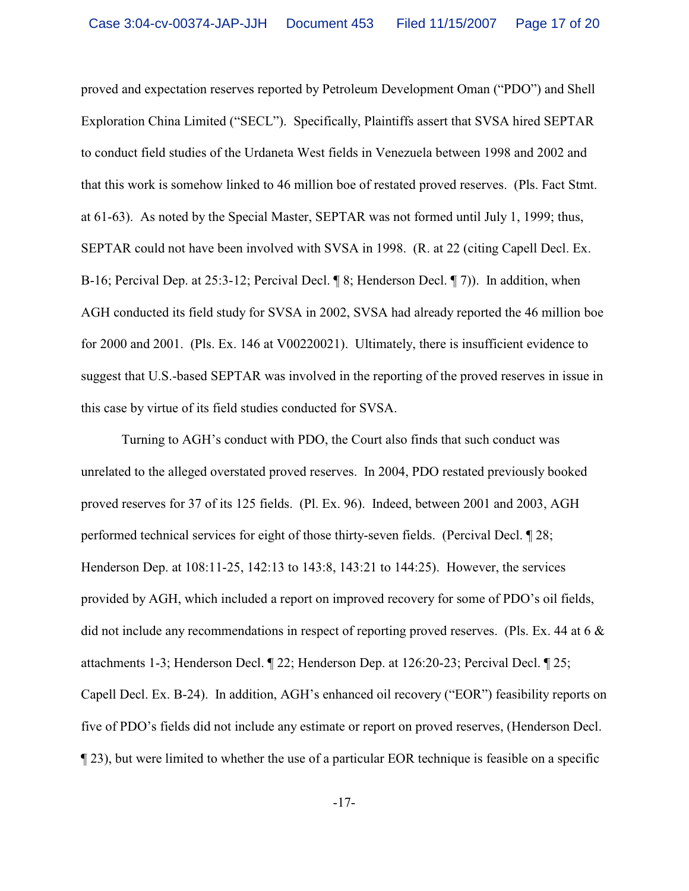proved and expectation reserves reported by Petroleum Development Oman ("PDO") and Shell Exploration China Limited ("SECL"). Specifically, Plaintiffs assert that SVSA hired SEPTAR to conduct field studies of the Urdaneta West fields in Venezuela between 1998 and 2002 and that this work is somehow linked to 46 million boe of restated proved reserves. (Pls. Fact Stmt. at 61-63). As noted by the Special Master, SEPTAR was not formed until July 1, 1999; thus, SEPTAR could not have been involved with SVSA in 1998. (R. at 22 (citing Capell Decl. Ex. B-16; Percival Dep. at 25:3-12; Percival Decl. ¶ 8; Henderson Decl. ¶ 7)). In addition, when AGH conducted its field study for SVSA in 2002, SVSA had already reported the 46 million boe for 2000 and 2001. (Pls. Ex. 146 at V00220021). Ultimately, there is insufficient evidence to suggest that U.S.-based SEPTAR was involved in the reporting of the proved reserves in issue in this case by virtue of its field studies conducted for SVSA.

Turning to AGH's conduct with PDO, the Court also finds that such conduct was unrelated to the alleged overstated proved reserves. In 2004, PDO restated previously booked proved reserves for 37 of its 125 fields. (Pl. Ex. 96). Indeed, between 2001 and 2003, AGH performed technical services for eight of those thirty-seven fields. (Percival Decl. ¶ 28; Henderson Dep. at 108:11-25, 142:13 to 143:8, 143:21 to 144:25). However, the services provided by AGH, which included a report on improved recovery for some of PDO's oil fields, did not include any recommendations in respect of reporting proved reserves. (Pls. Ex. 44 at 6 & attachments 1-3; Henderson Decl. ¶ 22; Henderson Dep. at 126:20-23; Percival Decl. ¶ 25; Capell Decl. Ex. B-24). In addition, AGH's enhanced oil recovery ("EOR") feasibility reports on five of PDO's fields did not include any estimate or report on proved reserves, (Henderson Decl. ¶ 23), but were limited to whether the use of a particular EOR technique is feasible on a specific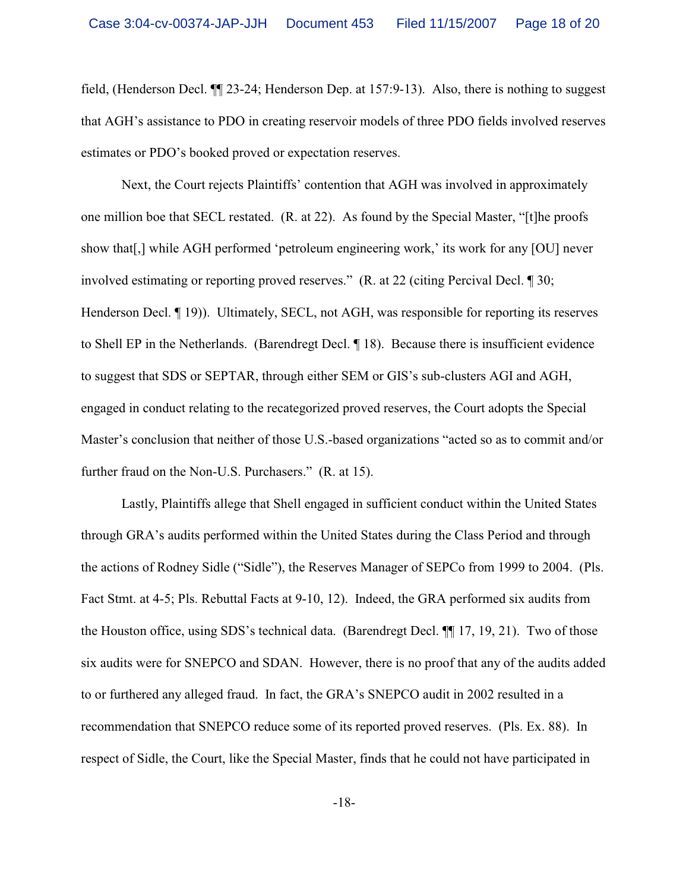field, (Henderson Decl. ¶¶ 23-24; Henderson Dep. at 157:9-13). Also, there is nothing to suggest that AGH's assistance to PDO in creating reservoir models of three PDO fields involved reserves estimates or PDO's booked proved or expectation reserves.

Next, the Court rejects Plaintiffs' contention that AGH was involved in approximately one million boe that SECL restated. (R. at 22). As found by the Special Master, "[t]he proofs show that[,] while AGH performed 'petroleum engineering work,' its work for any [OU] never involved estimating or reporting proved reserves." (R. at 22 (citing Percival Decl. ¶ 30; Henderson Decl.  $\P$  19)). Ultimately, SECL, not AGH, was responsible for reporting its reserves to Shell EP in the Netherlands. (Barendregt Decl. ¶ 18). Because there is insufficient evidence to suggest that SDS or SEPTAR, through either SEM or GIS's sub-clusters AGI and AGH, engaged in conduct relating to the recategorized proved reserves, the Court adopts the Special Master's conclusion that neither of those U.S.-based organizations "acted so as to commit and/or further fraud on the Non-U.S. Purchasers." (R. at 15).

Lastly, Plaintiffs allege that Shell engaged in sufficient conduct within the United States through GRA's audits performed within the United States during the Class Period and through the actions of Rodney Sidle ("Sidle"), the Reserves Manager of SEPCo from 1999 to 2004. (Pls. Fact Stmt. at 4-5; Pls. Rebuttal Facts at 9-10, 12). Indeed, the GRA performed six audits from the Houston office, using SDS's technical data. (Barendregt Decl. ¶¶ 17, 19, 21). Two of those six audits were for SNEPCO and SDAN. However, there is no proof that any of the audits added to or furthered any alleged fraud. In fact, the GRA's SNEPCO audit in 2002 resulted in a recommendation that SNEPCO reduce some of its reported proved reserves. (Pls. Ex. 88). In respect of Sidle, the Court, like the Special Master, finds that he could not have participated in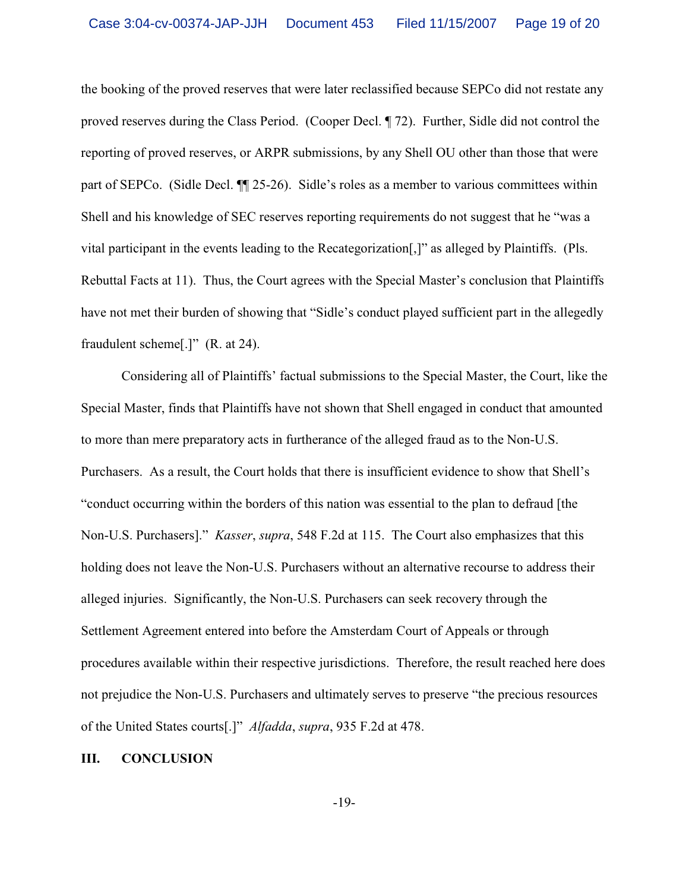the booking of the proved reserves that were later reclassified because SEPCo did not restate any proved reserves during the Class Period. (Cooper Decl. ¶ 72). Further, Sidle did not control the reporting of proved reserves, or ARPR submissions, by any Shell OU other than those that were part of SEPCo. (Sidle Decl. ¶¶ 25-26). Sidle's roles as a member to various committees within Shell and his knowledge of SEC reserves reporting requirements do not suggest that he "was a vital participant in the events leading to the Recategorization[,]" as alleged by Plaintiffs. (Pls. Rebuttal Facts at 11). Thus, the Court agrees with the Special Master's conclusion that Plaintiffs have not met their burden of showing that "Sidle's conduct played sufficient part in the allegedly fraudulent scheme[.]" (R. at 24).

Considering all of Plaintiffs' factual submissions to the Special Master, the Court, like the Special Master, finds that Plaintiffs have not shown that Shell engaged in conduct that amounted to more than mere preparatory acts in furtherance of the alleged fraud as to the Non-U.S. Purchasers. As a result, the Court holds that there is insufficient evidence to show that Shell's "conduct occurring within the borders of this nation was essential to the plan to defraud [the Non-U.S. Purchasers]." *Kasser*, *supra*, 548 F.2d at 115. The Court also emphasizes that this holding does not leave the Non-U.S. Purchasers without an alternative recourse to address their alleged injuries. Significantly, the Non-U.S. Purchasers can seek recovery through the Settlement Agreement entered into before the Amsterdam Court of Appeals or through procedures available within their respective jurisdictions. Therefore, the result reached here does not prejudice the Non-U.S. Purchasers and ultimately serves to preserve "the precious resources of the United States courts[.]" *Alfadda*, *supra*, 935 F.2d at 478.

# **III. CONCLUSION**